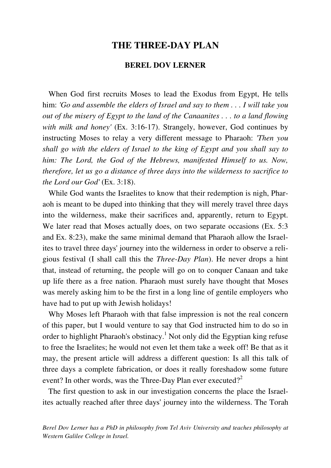## **THE THREE-DAY PLAN**

### **BEREL DOV LERNER**

 When God first recruits Moses to lead the Exodus from Egypt, He tells him: *'Go and assemble the elders of Israel and say to them . . . I will take you out of the misery of Egypt to the land of the Canaanites . . . to a land flowing with milk and honey'* (Ex. 3:16-17). Strangely, however, God continues by instructing Moses to relay a very different message to Pharaoh: *'Then you shall go with the elders of Israel to the king of Egypt and you shall say to him: The Lord, the God of the Hebrews, manifested Himself to us. Now, therefore, let us go a distance of three days into the wilderness to sacrifice to the Lord our God'* (Ex. 3:18).

 While God wants the Israelites to know that their redemption is nigh, Pharaoh is meant to be duped into thinking that they will merely travel three days into the wilderness, make their sacrifices and, apparently, return to Egypt. We later read that Moses actually does, on two separate occasions (Ex. 5:3) and Ex. 8:23), make the same minimal demand that Pharaoh allow the Israelites to travel three days' journey into the wilderness in order to observe a religious festival (I shall call this the *Three-Day Plan*). He never drops a hint that, instead of returning, the people will go on to conquer Canaan and take up life there as a free nation. Pharaoh must surely have thought that Moses was merely asking him to be the first in a long line of gentile employers who have had to put up with Jewish holidays!

 Why Moses left Pharaoh with that false impression is not the real concern of this paper, but I would venture to say that God instructed him to do so in order to highlight Pharaoh's obstinacy.<sup>1</sup> Not only did the Egyptian king refuse to free the Israelites; he would not even let them take a week off! Be that as it may, the present article will address a different question: Is all this talk of three days a complete fabrication, or does it really foreshadow some future event? In other words, was the Three-Day Plan ever executed?<sup>2</sup>

 The first question to ask in our investigation concerns the place the Israelites actually reached after three days' journey into the wilderness. The Torah

*Berel Dov Lerner has a PhD in philosophy from Tel Aviv University and teaches philosophy at Western Galilee College in Israel.*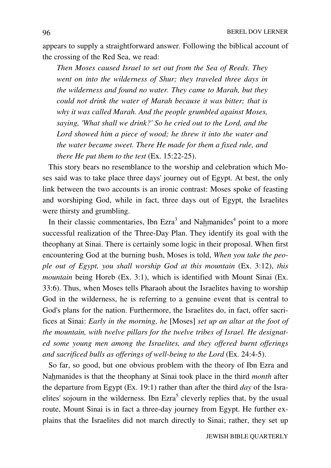appears to supply a straightforward answer. Following the biblical account of the crossing of the Red Sea, we read:

*Then Moses caused Israel to set out from the Sea of Reeds. They went on into the wilderness of Shur; they traveled three days in the wilderness and found no water. They came to Marah, but they could not drink the water of Marah because it was bitter; that is why it was called Marah. And the people grumbled against Moses, saying, 'What shall we drink?' So he cried out to the Lord, and the Lord showed him a piece of wood; he threw it into the water and the water became sweet. There He made for them a fixed rule, and there He put them to the test* (Ex. 15:22-25).

 This story bears no resemblance to the worship and celebration which Moses said was to take place three days' journey out of Egypt. At best, the only link between the two accounts is an ironic contrast: Moses spoke of feasting and worshiping God, while in fact, three days out of Egypt, the Israelites were thirsty and grumbling.

In their classic commentaries, Ibn Ezra<sup>3</sup> and Nahmanides<sup>4</sup> point to a more successful realization of the Three-Day Plan. They identify its goal with the theophany at Sinai. There is certainly some logic in their proposal. When first encountering God at the burning bush, Moses is told, *When you take the people out of Egypt, you shall worship God at this mountain* (Ex. 3:12), *this mountain* being Horeb (Ex. 3:1), which is identified with Mount Sinai (Ex. 33:6). Thus, when Moses tells Pharaoh about the Israelites having to worship God in the wilderness, he is referring to a genuine event that is central to God's plans for the nation. Furthermore, the Israelites do, in fact, offer sacrifices at Sinai: *Early in the morning, he* [Moses] *set up an altar at the foot of the mountain, with twelve pillars for the twelve tribes of Israel. He designated some young men among the Israelites, and they offered burnt offerings and sacrificed bulls as offerings of well-being to the Lord* (Ex. 24:4-5).

 So far, so good, but one obvious problem with the theory of Ibn Ezra and Nahmanides is that the theophany at Sinai took place in the third *month* after the departure from Egypt (Ex. 19:1) rather than after the third *day* of the Israelites' sojourn in the wilderness. Ibn  $Exra<sup>5</sup>$  cleverly replies that, by the usual route, Mount Sinai is in fact a three-day journey from Egypt. He further explains that the Israelites did not march directly to Sinai; rather, they set up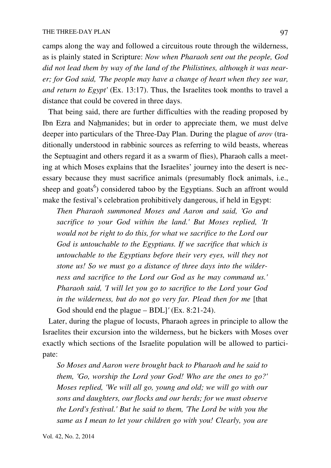camps along the way and followed a circuitous route through the wilderness, as is plainly stated in Scripture: *Now when Pharaoh sent out the people, God did not lead them by way of the land of the Philistines, although it was nearer; for God said, 'The people may have a change of heart when they see war, and return to Egypt'* (Ex. 13:17). Thus, the Israelites took months to travel a distance that could be covered in three days.

 That being said, there are further difficulties with the reading proposed by Ibn Ezra and Nahmanides; but in order to appreciate them, we must delve deeper into particulars of the Three-Day Plan. During the plague of *arov* (traditionally understood in rabbinic sources as referring to wild beasts, whereas the Septuagint and others regard it as a swarm of flies), Pharaoh calls a meeting at which Moses explains that the Israelites' journey into the desert is necessary because they must sacrifice animals (presumably flock animals, i.e., sheep and goats<sup>6</sup>) considered taboo by the Egyptians. Such an affront would make the festival's celebration prohibitively dangerous, if held in Egypt:

*Then Pharaoh summoned Moses and Aaron and said, 'Go and sacrifice to your God within the land.' But Moses replied, 'It would not be right to do this, for what we sacrifice to the Lord our God is untouchable to the Egyptians. If we sacrifice that which is untouchable to the Egyptians before their very eyes, will they not stone us! So we must go a distance of three days into the wilderness and sacrifice to the Lord our God as he may command us.' Pharaoh said, 'I will let you go to sacrifice to the Lord your God in the wilderness, but do not go very far. Plead then for me* [that God should end the plague – BDL]*'* (Ex. 8:21-24).

 Later, during the plague of locusts, Pharaoh agrees in principle to allow the Israelites their excursion into the wilderness, but he bickers with Moses over exactly which sections of the Israelite population will be allowed to participate:

*So Moses and Aaron were brought back to Pharaoh and he said to them, 'Go, worship the Lord your God! Who are the ones to go?' Moses replied, 'We will all go, young and old; we will go with our sons and daughters, our flocks and our herds; for we must observe the Lord's festival.' But he said to them, 'The Lord be with you the same as I mean to let your children go with you! Clearly, you are*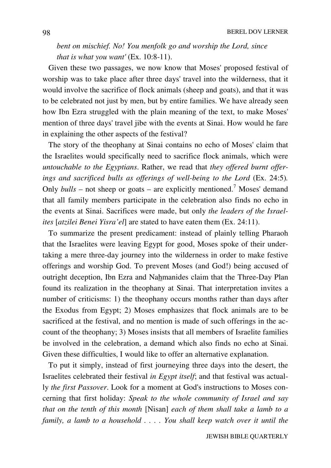*bent on mischief. No! You menfolk go and worship the Lord, since that is what you want'* (Ex. 10:8-11).

 Given these two passages, we now know that Moses' proposed festival of worship was to take place after three days' travel into the wilderness, that it would involve the sacrifice of flock animals (sheep and goats), and that it was to be celebrated not just by men, but by entire families. We have already seen how Ibn Ezra struggled with the plain meaning of the text, to make Moses' mention of three days' travel jibe with the events at Sinai. How would he fare in explaining the other aspects of the festival?

 The story of the theophany at Sinai contains no echo of Moses' claim that the Israelites would specifically need to sacrifice flock animals, which were *untouchable to the Egyptians*. Rather, we read that *they offered burnt offerings and sacrificed bulls as offerings of well-being to the Lord* (Ex. 24:5)*.* Only  $bulls$  – not sheep or goats – are explicitly mentioned.<sup>7</sup> Moses' demand that all family members participate in the celebration also finds no echo in the events at Sinai. Sacrifices were made, but only *the leaders of the Israelites* [*atzilei Benei Yisra'el*] are stated to have eaten them (Ex. 24:11).

 To summarize the present predicament: instead of plainly telling Pharaoh that the Israelites were leaving Egypt for good, Moses spoke of their undertaking a mere three-day journey into the wilderness in order to make festive offerings and worship God. To prevent Moses (and God!) being accused of outright deception, Ibn Ezra and Nahmanides claim that the Three-Day Plan found its realization in the theophany at Sinai. That interpretation invites a number of criticisms: 1) the theophany occurs months rather than days after the Exodus from Egypt; 2) Moses emphasizes that flock animals are to be sacrificed at the festival, and no mention is made of such offerings in the account of the theophany; 3) Moses insists that all members of Israelite families be involved in the celebration, a demand which also finds no echo at Sinai. Given these difficulties, I would like to offer an alternative explanation.

 To put it simply, instead of first journeying three days into the desert, the Israelites celebrated their festival *in Egypt itself*; and that festival was actually *the first Passover*. Look for a moment at God's instructions to Moses concerning that first holiday: *Speak to the whole community of Israel and say that on the tenth of this month* [Nisan] *each of them shall take a lamb to a family, a lamb to a household . . . . You shall keep watch over it until the*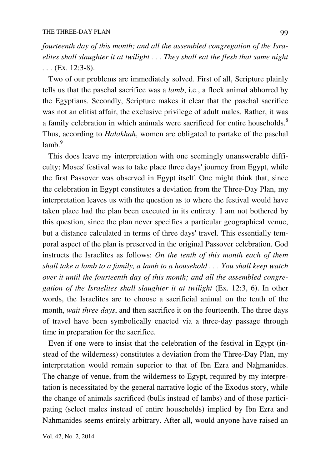*fourteenth day of this month; and all the assembled congregation of the Israelites shall slaughter it at twilight . . . They shall eat the flesh that same night . . .* (Ex. 12:3-8).

 Two of our problems are immediately solved. First of all, Scripture plainly tells us that the paschal sacrifice was a *lamb*, i.e., a flock animal abhorred by the Egyptians. Secondly, Scripture makes it clear that the paschal sacrifice was not an elitist affair, the exclusive privilege of adult males. Rather, it was a family celebration in which animals were sacrificed for entire households.<sup>8</sup> Thus, according to *Halakhah*, women are obligated to partake of the paschal lamb.<sup>9</sup>

 This does leave my interpretation with one seemingly unanswerable difficulty; Moses' festival was to take place three days' journey from Egypt, while the first Passover was observed in Egypt itself. One might think that, since the celebration in Egypt constitutes a deviation from the Three-Day Plan, my interpretation leaves us with the question as to where the festival would have taken place had the plan been executed in its entirety. I am not bothered by this question, since the plan never specifies a particular geographical venue, but a distance calculated in terms of three days' travel. This essentially temporal aspect of the plan is preserved in the original Passover celebration. God instructs the Israelites as follows: *On the tenth of this month each of them shall take a lamb to a family, a lamb to a household . . . You shall keep watch over it until the fourteenth day of this month; and all the assembled congregation of the Israelites shall slaughter it at twilight* (Ex. 12:3, 6). In other words, the Israelites are to choose a sacrificial animal on the tenth of the month, *wait three days*, and then sacrifice it on the fourteenth. The three days of travel have been symbolically enacted via a three-day passage through time in preparation for the sacrifice.

 Even if one were to insist that the celebration of the festival in Egypt (instead of the wilderness) constitutes a deviation from the Three-Day Plan, my interpretation would remain superior to that of Ibn Ezra and Nahmanides. The change of venue, from the wilderness to Egypt, required by my interpretation is necessitated by the general narrative logic of the Exodus story, while the change of animals sacrificed (bulls instead of lambs) and of those participating (select males instead of entire households) implied by Ibn Ezra and Nahmanides seems entirely arbitrary. After all, would anyone have raised an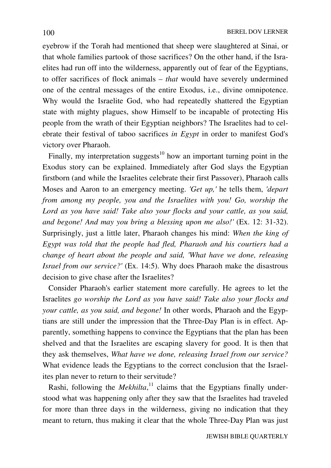eyebrow if the Torah had mentioned that sheep were slaughtered at Sinai, or that whole families partook of those sacrifices? On the other hand, if the Israelites had run off into the wilderness, apparently out of fear of the Egyptians, to offer sacrifices of flock animals – *that* would have severely undermined one of the central messages of the entire Exodus, i.e., divine omnipotence. Why would the Israelite God, who had repeatedly shattered the Egyptian state with mighty plagues, show Himself to be incapable of protecting His people from the wrath of their Egyptian neighbors? The Israelites had to celebrate their festival of taboo sacrifices *in Egypt* in order to manifest God's victory over Pharaoh.

Finally, my interpretation suggests<sup>10</sup> how an important turning point in the Exodus story can be explained. Immediately after God slays the Egyptian firstborn (and while the Israelites celebrate their first Passover), Pharaoh calls Moses and Aaron to an emergency meeting. *'Get up,'* he tells them, *'depart from among my people, you and the Israelites with you! Go, worship the Lord as you have said! Take also your flocks and your cattle, as you said, and begone! And may you bring a blessing upon me also!'* (Ex. 12: 31-32). Surprisingly, just a little later, Pharaoh changes his mind: *When the king of Egypt was told that the people had fled, Pharaoh and his courtiers had a change of heart about the people and said, 'What have we done, releasing Israel from our service?'* (Ex. 14:5). Why does Pharaoh make the disastrous decision to give chase after the Israelites?

 Consider Pharaoh's earlier statement more carefully. He agrees to let the Israelites *go worship the Lord as you have said! Take also your flocks and your cattle, as you said, and begone!* In other words, Pharaoh and the Egyptians are still under the impression that the Three-Day Plan is in effect. Apparently, something happens to convince the Egyptians that the plan has been shelved and that the Israelites are escaping slavery for good. It is then that they ask themselves, *What have we done, releasing Israel from our service?* What evidence leads the Egyptians to the correct conclusion that the Israelites plan never to return to their servitude?

Rashi, following the *Mekhilta*,<sup>11</sup> claims that the Egyptians finally understood what was happening only after they saw that the Israelites had traveled for more than three days in the wilderness, giving no indication that they meant to return, thus making it clear that the whole Three-Day Plan was just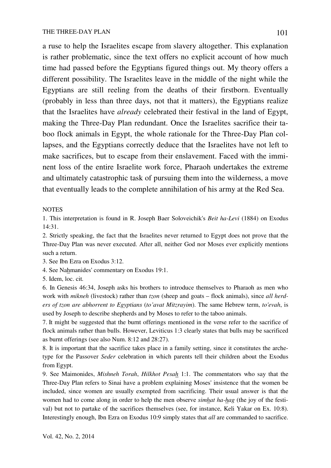a ruse to help the Israelites escape from slavery altogether. This explanation is rather problematic, since the text offers no explicit account of how much time had passed before the Egyptians figured things out. My theory offers a different possibility. The Israelites leave in the middle of the night while the Egyptians are still reeling from the deaths of their firstborn. Eventually (probably in less than three days, not that it matters), the Egyptians realize that the Israelites have *already* celebrated their festival in the land of Egypt, making the Three-Day Plan redundant. Once the Israelites sacrifice their taboo flock animals in Egypt, the whole rationale for the Three-Day Plan collapses, and the Egyptians correctly deduce that the Israelites have not left to make sacrifices, but to escape from their enslavement. Faced with the imminent loss of the entire Israelite work force, Pharaoh undertakes the extreme and ultimately catastrophic task of pursuing them into the wilderness, a move that eventually leads to the complete annihilation of his army at the Red Sea.

#### **NOTES**

1. This interpretation is found in R. Joseph Baer Soloveichik's *Beit ha-Levi* (1884) on Exodus 14:31.

2. Strictly speaking, the fact that the Israelites never returned to Egypt does not prove that the Three-Day Plan was never executed. After all, neither God nor Moses ever explicitly mentions such a return.

3. See Ibn Ezra on Exodus 3:12.

4. See Nahmanides' commentary on Exodus 19:1.

5. Idem, loc. cit*.*

6. In Genesis 46:34, Joseph asks his brothers to introduce themselves to Pharaoh as men who work with *mikneh* (livestock) rather than *tzon* (sheep and goats – flock animals), since *all herders of tzon are abhorrent to Egyptians* (*to'avat Mitzrayim*). The same Hebrew term, *to'evah*, is used by Joseph to describe shepherds and by Moses to refer to the taboo animals.

7. It might be suggested that the burnt offerings mentioned in the verse refer to the sacrifice of flock animals rather than bulls. However, Leviticus 1:3 clearly states that bulls may be sacrificed as burnt offerings (see also Num. 8:12 and 28:27).

8. It is important that the sacrifice takes place in a family setting, since it constitutes the archetype for the Passover *Seder* celebration in which parents tell their children about the Exodus from Egypt.

9. See Maimonides, *Mishneh Torah*, *Hilkhot Pesah* 1:1. The commentators who say that the Three-Day Plan refers to Sinai have a problem explaining Moses' insistence that the women be included, since women are usually exempted from sacrificing. Their usual answer is that the women had to come along in order to help the men observe *simhat ha-hag* (the joy of the festival) but not to partake of the sacrifices themselves (see, for instance, Keli Yakar on Ex. 10:8). Interestingly enough, Ibn Ezra on Exodus 10:9 simply states that *all* are commanded to sacrifice.